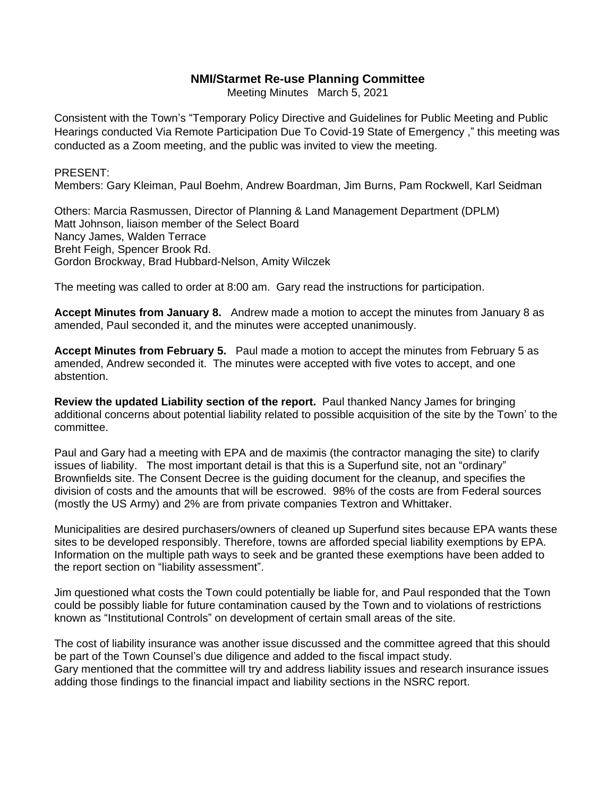## **NMI/Starmet Re-use Planning Committee**

Meeting Minutes March 5, 2021

Consistent with the Town's "Temporary Policy Directive and Guidelines for Public Meeting and Public Hearings conducted Via Remote Participation Due To Covid-19 State of Emergency ," this meeting was conducted as a Zoom meeting, and the public was invited to view the meeting.

## PRESENT:

Members: Gary Kleiman, Paul Boehm, Andrew Boardman, Jim Burns, Pam Rockwell, Karl Seidman

Others: Marcia Rasmussen, Director of Planning & Land Management Department (DPLM) Matt Johnson, liaison member of the Select Board Nancy James, Walden Terrace Breht Feigh, Spencer Brook Rd. Gordon Brockway, Brad Hubbard-Nelson, Amity Wilczek

The meeting was called to order at 8:00 am. Gary read the instructions for participation.

**Accept Minutes from January 8.** Andrew made a motion to accept the minutes from January 8 as amended, Paul seconded it, and the minutes were accepted unanimously.

**Accept Minutes from February 5.** Paul made a motion to accept the minutes from February 5 as amended, Andrew seconded it. The minutes were accepted with five votes to accept, and one abstention.

**Review the updated Liability section of the report.** Paul thanked Nancy James for bringing additional concerns about potential liability related to possible acquisition of the site by the Town' to the committee.

Paul and Gary had a meeting with EPA and de maximis (the contractor managing the site) to clarify issues of liability. The most important detail is that this is a Superfund site, not an "ordinary" Brownfields site. The Consent Decree is the guiding document for the cleanup, and specifies the division of costs and the amounts that will be escrowed. 98% of the costs are from Federal sources (mostly the US Army) and 2% are from private companies Textron and Whittaker.

Municipalities are desired purchasers/owners of cleaned up Superfund sites because EPA wants these sites to be developed responsibly. Therefore, towns are afforded special liability exemptions by EPA. Information on the multiple path ways to seek and be granted these exemptions have been added to the report section on "liability assessment".

Jim questioned what costs the Town could potentially be liable for, and Paul responded that the Town could be possibly liable for future contamination caused by the Town and to violations of restrictions known as "Institutional Controls" on development of certain small areas of the site.

The cost of liability insurance was another issue discussed and the committee agreed that this should be part of the Town Counsel's due diligence and added to the fiscal impact study. Gary mentioned that the committee will try and address liability issues and research insurance issues adding those findings to the financial impact and liability sections in the NSRC report.